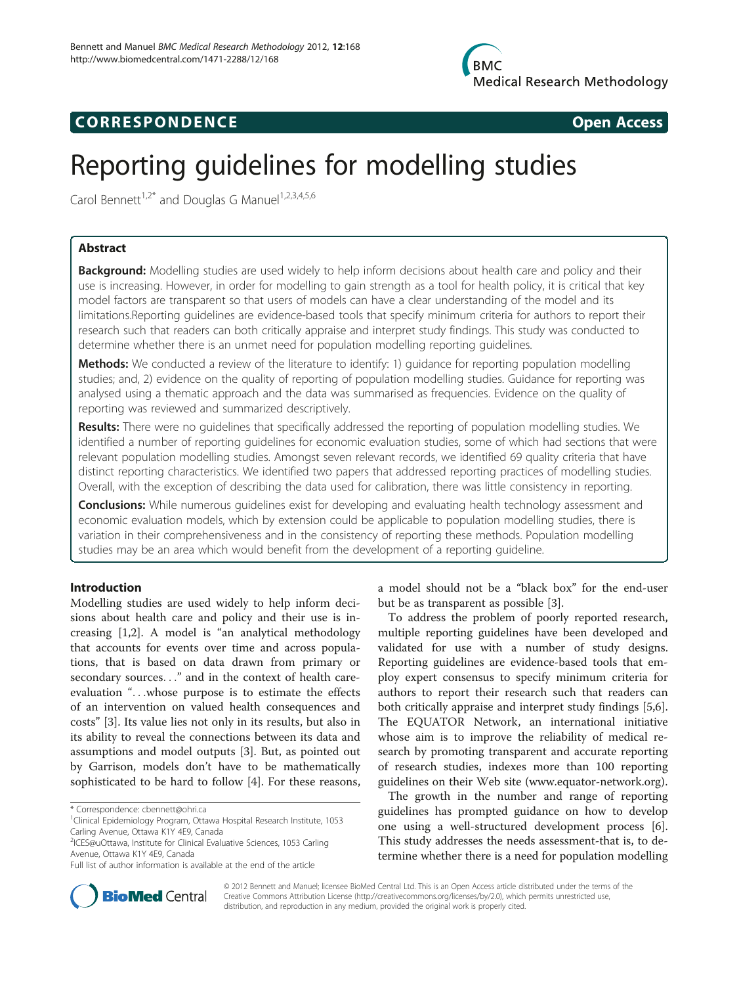## **CORRESPONDENCE CORRESPONDENCE** *CORRESPONDENCE*

# Reporting guidelines for modelling studies

Carol Bennett<sup>1,2\*</sup> and Douglas G Manuel<sup>1,2,3,4,5,6</sup>

## Abstract

Background: Modelling studies are used widely to help inform decisions about health care and policy and their use is increasing. However, in order for modelling to gain strength as a tool for health policy, it is critical that key model factors are transparent so that users of models can have a clear understanding of the model and its limitations.Reporting guidelines are evidence-based tools that specify minimum criteria for authors to report their research such that readers can both critically appraise and interpret study findings. This study was conducted to determine whether there is an unmet need for population modelling reporting guidelines.

Methods: We conducted a review of the literature to identify: 1) guidance for reporting population modelling studies; and, 2) evidence on the quality of reporting of population modelling studies. Guidance for reporting was analysed using a thematic approach and the data was summarised as frequencies. Evidence on the quality of reporting was reviewed and summarized descriptively.

Results: There were no quidelines that specifically addressed the reporting of population modelling studies. We identified a number of reporting guidelines for economic evaluation studies, some of which had sections that were relevant population modelling studies. Amongst seven relevant records, we identified 69 quality criteria that have distinct reporting characteristics. We identified two papers that addressed reporting practices of modelling studies. Overall, with the exception of describing the data used for calibration, there was little consistency in reporting.

**Conclusions:** While numerous quidelines exist for developing and evaluating health technology assessment and economic evaluation models, which by extension could be applicable to population modelling studies, there is variation in their comprehensiveness and in the consistency of reporting these methods. Population modelling studies may be an area which would benefit from the development of a reporting guideline.

## Introduction

Modelling studies are used widely to help inform decisions about health care and policy and their use is increasing [\[1](#page-5-0),[2](#page-5-0)]. A model is "an analytical methodology that accounts for events over time and across populations, that is based on data drawn from primary or secondary sources..." and in the context of health careevaluation "...whose purpose is to estimate the effects of an intervention on valued health consequences and costs" [[3\]](#page-5-0). Its value lies not only in its results, but also in its ability to reveal the connections between its data and assumptions and model outputs [[3](#page-5-0)]. But, as pointed out by Garrison, models don't have to be mathematically sophisticated to be hard to follow [\[4](#page-5-0)]. For these reasons,

a model should not be a "black box" for the end-user but be as transparent as possible [\[3](#page-5-0)].

To address the problem of poorly reported research, multiple reporting guidelines have been developed and validated for use with a number of study designs. Reporting guidelines are evidence-based tools that employ expert consensus to specify minimum criteria for authors to report their research such that readers can both critically appraise and interpret study findings [\[5](#page-5-0)[,6](#page-6-0)]. The EQUATOR Network, an international initiative whose aim is to improve the reliability of medical research by promoting transparent and accurate reporting of research studies, indexes more than 100 reporting guidelines on their Web site ([www.equator-network.org\)](http://www.equator-network.org).

The growth in the number and range of reporting guidelines has prompted guidance on how to develop one using a well-structured development process [\[6](#page-6-0)]. This study addresses the needs assessment-that is, to determine whether there is a need for population modelling



© 2012 Bennett and Manuel; licensee BioMed Central Ltd. This is an Open Access article distributed under the terms of the Creative Commons Attribution License (<http://creativecommons.org/licenses/by/2.0>), which permits unrestricted use, distribution, and reproduction in any medium, provided the original work is properly cited.

<sup>\*</sup> Correspondence: [cbennett@ohri.ca](mailto:cbennett@ohri.ca) <sup>1</sup>

<sup>&</sup>lt;sup>1</sup>Clinical Epidemiology Program, Ottawa Hospital Research Institute, 1053 Carling Avenue, Ottawa K1Y 4E9, Canada

<sup>2</sup> ICES@uOttawa, Institute for Clinical Evaluative Sciences, 1053 Carling Avenue, Ottawa K1Y 4E9, Canada

Full list of author information is available at the end of the article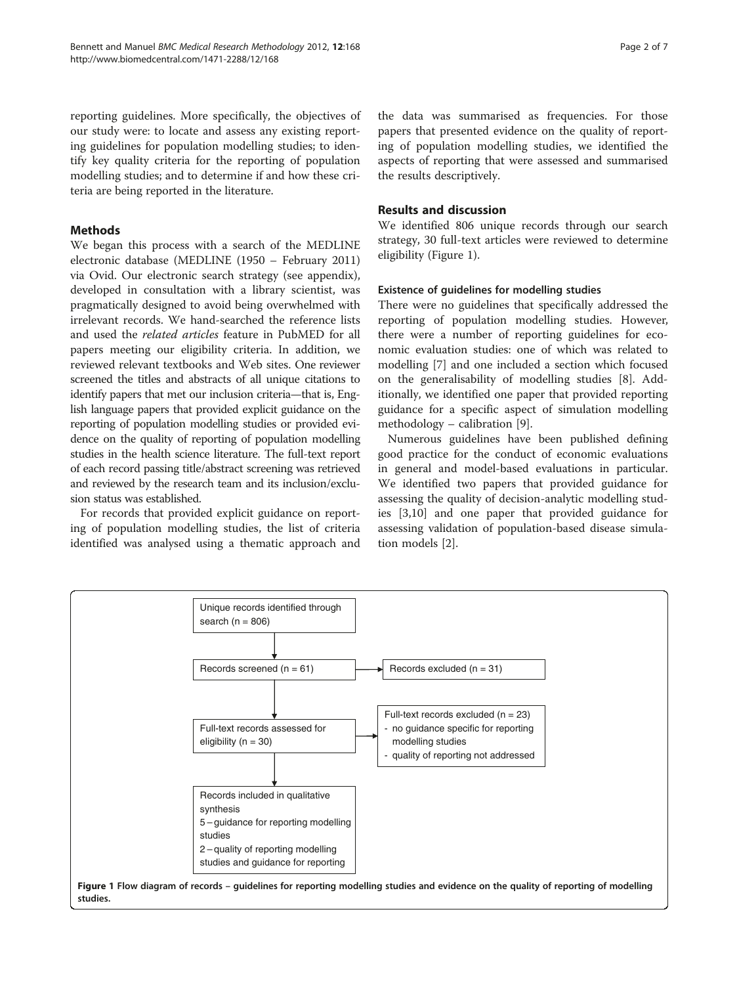reporting guidelines. More specifically, the objectives of our study were: to locate and assess any existing reporting guidelines for population modelling studies; to identify key quality criteria for the reporting of population modelling studies; and to determine if and how these criteria are being reported in the literature.

## Methods

We began this process with a search of the MEDLINE electronic database (MEDLINE (1950 – February 2011) via Ovid. Our electronic search strategy (see appendix), developed in consultation with a library scientist, was pragmatically designed to avoid being overwhelmed with irrelevant records. We hand-searched the reference lists and used the related articles feature in PubMED for all papers meeting our eligibility criteria. In addition, we reviewed relevant textbooks and Web sites. One reviewer screened the titles and abstracts of all unique citations to identify papers that met our inclusion criteria—that is, English language papers that provided explicit guidance on the reporting of population modelling studies or provided evidence on the quality of reporting of population modelling studies in the health science literature. The full-text report of each record passing title/abstract screening was retrieved and reviewed by the research team and its inclusion/exclusion status was established.

For records that provided explicit guidance on reporting of population modelling studies, the list of criteria identified was analysed using a thematic approach and

the data was summarised as frequencies. For those papers that presented evidence on the quality of reporting of population modelling studies, we identified the aspects of reporting that were assessed and summarised the results descriptively.

## Results and discussion

We identified 806 unique records through our search strategy, 30 full-text articles were reviewed to determine eligibility (Figure 1).

## Existence of guidelines for modelling studies

There were no guidelines that specifically addressed the reporting of population modelling studies. However, there were a number of reporting guidelines for economic evaluation studies: one of which was related to modelling [\[7\]](#page-6-0) and one included a section which focused on the generalisability of modelling studies [[8\]](#page-6-0). Additionally, we identified one paper that provided reporting guidance for a specific aspect of simulation modelling methodology – calibration [\[9](#page-6-0)].

Numerous guidelines have been published defining good practice for the conduct of economic evaluations in general and model-based evaluations in particular. We identified two papers that provided guidance for assessing the quality of decision-analytic modelling studies [[3](#page-5-0),[10](#page-6-0)] and one paper that provided guidance for assessing validation of population-based disease simulation models [\[2](#page-5-0)].

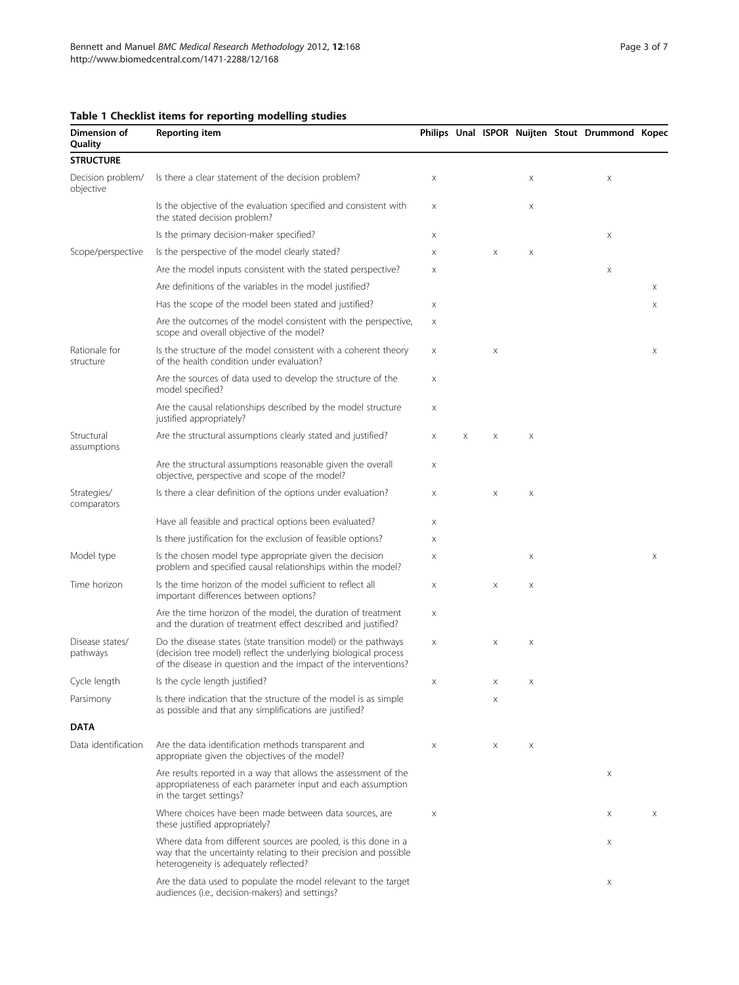| Dimension of<br>Quality        | <b>Reporting item</b>                                                                                                                                                                                |                       |   |   |   | Philips Unal ISPOR Nuijten Stout Drummond Kopec |   |
|--------------------------------|------------------------------------------------------------------------------------------------------------------------------------------------------------------------------------------------------|-----------------------|---|---|---|-------------------------------------------------|---|
| <b>STRUCTURE</b>               |                                                                                                                                                                                                      |                       |   |   |   |                                                 |   |
| Decision problem/<br>objective | Is there a clear statement of the decision problem?                                                                                                                                                  | X                     |   |   | Χ | X                                               |   |
|                                | Is the objective of the evaluation specified and consistent with<br>the stated decision problem?                                                                                                     | X                     |   |   | X |                                                 |   |
|                                | Is the primary decision-maker specified?                                                                                                                                                             | X                     |   |   |   | X                                               |   |
| Scope/perspective              | Is the perspective of the model clearly stated?                                                                                                                                                      | X                     |   | X | X |                                                 |   |
|                                | Are the model inputs consistent with the stated perspective?                                                                                                                                         | X                     |   |   |   | X                                               |   |
|                                | Are definitions of the variables in the model justified?                                                                                                                                             |                       |   |   |   |                                                 | Χ |
|                                | Has the scope of the model been stated and justified?                                                                                                                                                | X                     |   |   |   |                                                 | X |
|                                | Are the outcomes of the model consistent with the perspective,<br>scope and overall objective of the model?                                                                                          | X                     |   |   |   |                                                 |   |
| Rationale for<br>structure     | Is the structure of the model consistent with a coherent theory<br>of the health condition under evaluation?                                                                                         | X                     |   | X |   |                                                 | X |
|                                | Are the sources of data used to develop the structure of the<br>model specified?                                                                                                                     | X                     |   |   |   |                                                 |   |
|                                | Are the causal relationships described by the model structure<br>justified appropriately?                                                                                                            | X                     |   |   |   |                                                 |   |
| Structural<br>assumptions      | Are the structural assumptions clearly stated and justified?                                                                                                                                         | $\boldsymbol{\times}$ | X | X | Χ |                                                 |   |
|                                | Are the structural assumptions reasonable given the overall<br>objective, perspective and scope of the model?                                                                                        | X                     |   |   |   |                                                 |   |
| Strategies/<br>comparators     | Is there a clear definition of the options under evaluation?                                                                                                                                         | $\boldsymbol{\times}$ |   | X | X |                                                 |   |
|                                | Have all feasible and practical options been evaluated?                                                                                                                                              | X                     |   |   |   |                                                 |   |
|                                | Is there justification for the exclusion of feasible options?                                                                                                                                        | X                     |   |   |   |                                                 |   |
| Model type                     | Is the chosen model type appropriate given the decision<br>problem and specified causal relationships within the model?                                                                              | X                     |   |   | X |                                                 | X |
| Time horizon                   | Is the time horizon of the model sufficient to reflect all<br>important differences between options?                                                                                                 | X                     |   | X | X |                                                 |   |
|                                | Are the time horizon of the model, the duration of treatment<br>and the duration of treatment effect described and justified?                                                                        | X                     |   |   |   |                                                 |   |
| Disease states/<br>pathways    | Do the disease states (state transition model) or the pathways<br>(decision tree model) reflect the underlying biological process<br>of the disease in question and the impact of the interventions? | X                     |   | X | X |                                                 |   |
| Cycle length                   | Is the cycle length justified?                                                                                                                                                                       | X                     |   | X | X |                                                 |   |
| Parsimony                      | Is there indication that the structure of the model is as simple<br>as possible and that any simplifications are justified?                                                                          |                       |   | X |   |                                                 |   |
| DATA                           |                                                                                                                                                                                                      |                       |   |   |   |                                                 |   |
| Data identification            | Are the data identification methods transparent and<br>appropriate given the objectives of the model?                                                                                                | X                     |   | X | Χ |                                                 |   |
|                                | Are results reported in a way that allows the assessment of the<br>appropriateness of each parameter input and each assumption<br>in the target settings?                                            |                       |   |   |   | X                                               |   |
|                                | Where choices have been made between data sources, are<br>these justified appropriately?                                                                                                             | X                     |   |   |   | X                                               | Χ |
|                                | Where data from different sources are pooled, is this done in a<br>way that the uncertainty relating to their precision and possible<br>heterogeneity is adequately reflected?                       |                       |   |   |   | X                                               |   |
|                                | Are the data used to populate the model relevant to the target<br>audiences (i.e., decision-makers) and settings?                                                                                    |                       |   |   |   | X                                               |   |

## <span id="page-2-0"></span>Table 1 Checklist items for reporting modelling studies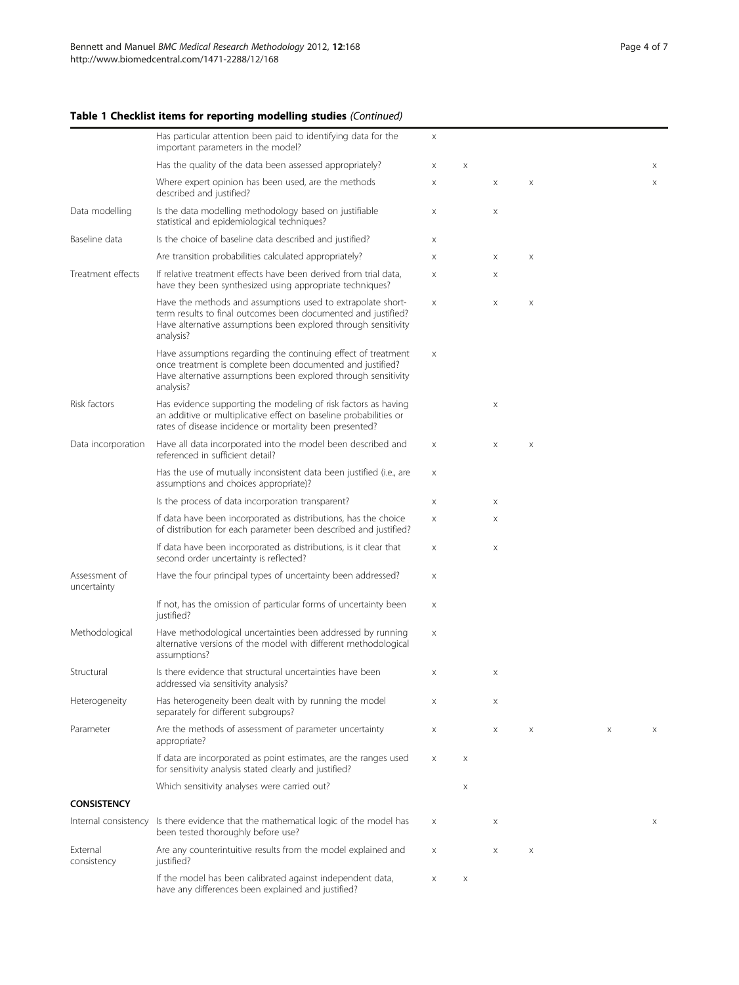## Table 1 Checklist items for reporting modelling studies (Continued)

|                              | Has particular attention been paid to identifying data for the<br>important parameters in the model?                                                                                                        | X |   |   |          |   |   |
|------------------------------|-------------------------------------------------------------------------------------------------------------------------------------------------------------------------------------------------------------|---|---|---|----------|---|---|
|                              | Has the quality of the data been assessed appropriately?                                                                                                                                                    | X | X |   |          |   | Χ |
|                              | Where expert opinion has been used, are the methods<br>described and justified?                                                                                                                             | X |   | X | X        |   | X |
| Data modelling               | Is the data modelling methodology based on justifiable<br>statistical and epidemiological techniques?                                                                                                       | X |   | X |          |   |   |
| Baseline data                | Is the choice of baseline data described and justified?                                                                                                                                                     | X |   |   |          |   |   |
|                              | Are transition probabilities calculated appropriately?                                                                                                                                                      | X |   | X | X        |   |   |
| Treatment effects            | If relative treatment effects have been derived from trial data,<br>have they been synthesized using appropriate techniques?                                                                                | X |   | X |          |   |   |
|                              | Have the methods and assumptions used to extrapolate short-<br>term results to final outcomes been documented and justified?<br>Have alternative assumptions been explored through sensitivity<br>analysis? | X |   | X | X        |   |   |
|                              | Have assumptions regarding the continuing effect of treatment<br>once treatment is complete been documented and justified?<br>Have alternative assumptions been explored through sensitivity<br>analysis?   | X |   |   |          |   |   |
| Risk factors                 | Has evidence supporting the modeling of risk factors as having<br>an additive or multiplicative effect on baseline probabilities or<br>rates of disease incidence or mortality been presented?              |   |   | X |          |   |   |
| Data incorporation           | Have all data incorporated into the model been described and<br>referenced in sufficient detail?                                                                                                            | X |   | X | Χ        |   |   |
|                              | Has the use of mutually inconsistent data been justified (i.e., are<br>assumptions and choices appropriate)?                                                                                                | X |   |   |          |   |   |
|                              | Is the process of data incorporation transparent?                                                                                                                                                           | X |   | X |          |   |   |
|                              | If data have been incorporated as distributions, has the choice<br>of distribution for each parameter been described and justified?                                                                         | X |   | X |          |   |   |
|                              | If data have been incorporated as distributions, is it clear that<br>second order uncertainty is reflected?                                                                                                 | X |   | X |          |   |   |
| Assessment of<br>uncertainty | Have the four principal types of uncertainty been addressed?                                                                                                                                                | X |   |   |          |   |   |
|                              | If not, has the omission of particular forms of uncertainty been<br>justified?                                                                                                                              | Χ |   |   |          |   |   |
| Methodological               | Have methodological uncertainties been addressed by running<br>alternative versions of the model with different methodological<br>assumptions?                                                              | X |   |   |          |   |   |
| Structural                   | Is there evidence that structural uncertainties have been<br>addressed via sensitivity analysis?                                                                                                            | X |   | X |          |   |   |
| Heterogeneity                | Has heterogeneity been dealt with by running the model<br>separately for different subgroups?                                                                                                               | X |   | X |          |   |   |
| Parameter                    | Are the methods of assessment of parameter uncertainty<br>appropriate?                                                                                                                                      | X |   | Χ | $\times$ | X | X |
|                              | If data are incorporated as point estimates, are the ranges used<br>for sensitivity analysis stated clearly and justified?                                                                                  | X | Χ |   |          |   |   |
|                              | Which sensitivity analyses were carried out?                                                                                                                                                                |   | X |   |          |   |   |
| <b>CONSISTENCY</b>           |                                                                                                                                                                                                             |   |   |   |          |   |   |
| Internal consistency         | Is there evidence that the mathematical logic of the model has<br>been tested thoroughly before use?                                                                                                        | X |   | X |          |   | X |
| External<br>consistency      | Are any counterintuitive results from the model explained and<br>justified?                                                                                                                                 | X |   | X | X        |   |   |
|                              | If the model has been calibrated against independent data,<br>have any differences been explained and justified?                                                                                            | X | X |   |          |   |   |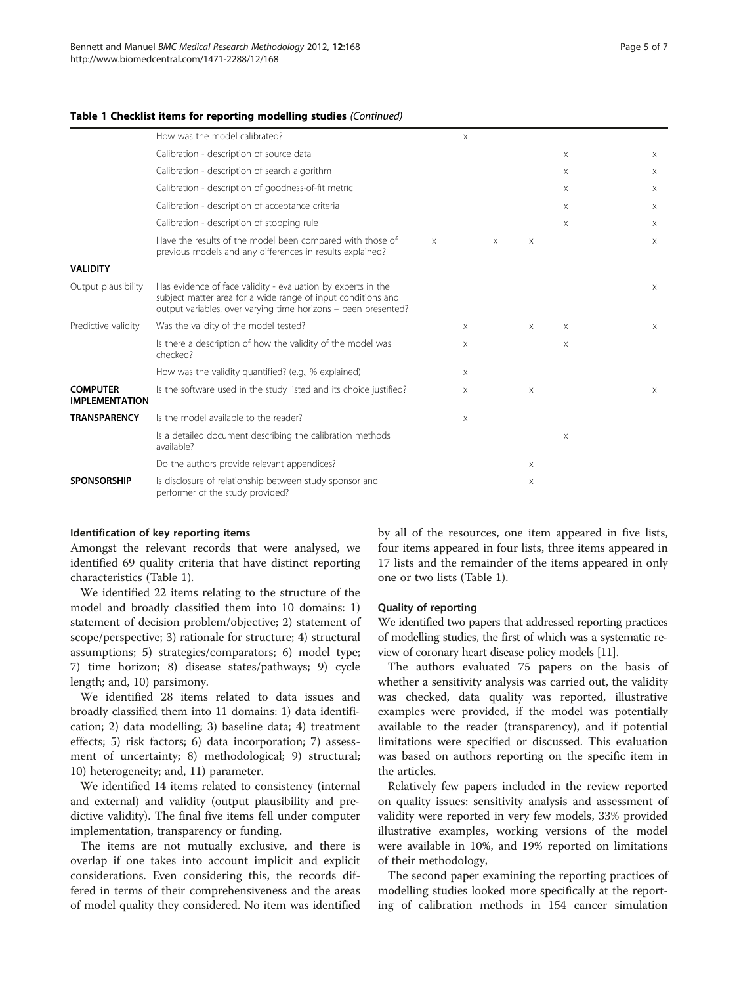|                                          | How was the model calibrated?                                                                                                                                                                  |          | X        |          |          |          |          |
|------------------------------------------|------------------------------------------------------------------------------------------------------------------------------------------------------------------------------------------------|----------|----------|----------|----------|----------|----------|
|                                          |                                                                                                                                                                                                |          |          |          |          |          |          |
|                                          | Calibration - description of source data                                                                                                                                                       |          |          |          |          | X        | $\times$ |
|                                          | Calibration - description of search algorithm                                                                                                                                                  |          |          |          |          | $\times$ | X        |
|                                          | Calibration - description of goodness-of-fit metric                                                                                                                                            |          |          |          |          | X        | X.       |
|                                          | Calibration - description of acceptance criteria                                                                                                                                               |          |          |          |          | Χ        | X.       |
|                                          | Calibration - description of stopping rule                                                                                                                                                     |          |          |          |          | X        | X.       |
|                                          | Have the results of the model been compared with those of<br>previous models and any differences in results explained?                                                                         | $\times$ |          | $\times$ | $\times$ |          | X        |
| <b>VALIDITY</b>                          |                                                                                                                                                                                                |          |          |          |          |          |          |
| Output plausibility                      | Has evidence of face validity - evaluation by experts in the<br>subject matter area for a wide range of input conditions and<br>output variables, over varying time horizons - been presented? |          |          |          |          |          | $\times$ |
| Predictive validity                      | Was the validity of the model tested?                                                                                                                                                          |          | X        |          | $\times$ | X        | $\times$ |
|                                          | Is there a description of how the validity of the model was<br>checked?                                                                                                                        |          | X        |          |          | X        |          |
|                                          | How was the validity quantified? (e.g., % explained)                                                                                                                                           |          | $\times$ |          |          |          |          |
| <b>COMPUTER</b><br><b>IMPLEMENTATION</b> | Is the software used in the study listed and its choice justified?                                                                                                                             |          | $\times$ |          | $\times$ |          | $\times$ |
| <b>TRANSPARENCY</b>                      | Is the model available to the reader?                                                                                                                                                          |          | $\times$ |          |          |          |          |
|                                          | Is a detailed document describing the calibration methods<br>available?                                                                                                                        |          |          |          |          | X        |          |
|                                          | Do the authors provide relevant appendices?                                                                                                                                                    |          |          |          | Χ        |          |          |
| <b>SPONSORSHIP</b>                       | Is disclosure of relationship between study sponsor and<br>performer of the study provided?                                                                                                    |          |          |          | Χ        |          |          |

#### Table 1 Checklist items for reporting modelling studies (Continued)

#### Identification of key reporting items

Amongst the relevant records that were analysed, we identified 69 quality criteria that have distinct reporting characteristics (Table [1\)](#page-2-0).

We identified 22 items relating to the structure of the model and broadly classified them into 10 domains: 1) statement of decision problem/objective; 2) statement of scope/perspective; 3) rationale for structure; 4) structural assumptions; 5) strategies/comparators; 6) model type; 7) time horizon; 8) disease states/pathways; 9) cycle length; and, 10) parsimony.

We identified 28 items related to data issues and broadly classified them into 11 domains: 1) data identification; 2) data modelling; 3) baseline data; 4) treatment effects; 5) risk factors; 6) data incorporation; 7) assessment of uncertainty; 8) methodological; 9) structural; 10) heterogeneity; and, 11) parameter.

We identified 14 items related to consistency (internal and external) and validity (output plausibility and predictive validity). The final five items fell under computer implementation, transparency or funding.

The items are not mutually exclusive, and there is overlap if one takes into account implicit and explicit considerations. Even considering this, the records differed in terms of their comprehensiveness and the areas of model quality they considered. No item was identified by all of the resources, one item appeared in five lists, four items appeared in four lists, three items appeared in 17 lists and the remainder of the items appeared in only one or two lists (Table [1\)](#page-2-0).

#### Quality of reporting

We identified two papers that addressed reporting practices of modelling studies, the first of which was a systematic review of coronary heart disease policy models [\[11\]](#page-6-0).

The authors evaluated 75 papers on the basis of whether a sensitivity analysis was carried out, the validity was checked, data quality was reported, illustrative examples were provided, if the model was potentially available to the reader (transparency), and if potential limitations were specified or discussed. This evaluation was based on authors reporting on the specific item in the articles.

Relatively few papers included in the review reported on quality issues: sensitivity analysis and assessment of validity were reported in very few models, 33% provided illustrative examples, working versions of the model were available in 10%, and 19% reported on limitations of their methodology,

The second paper examining the reporting practices of modelling studies looked more specifically at the reporting of calibration methods in 154 cancer simulation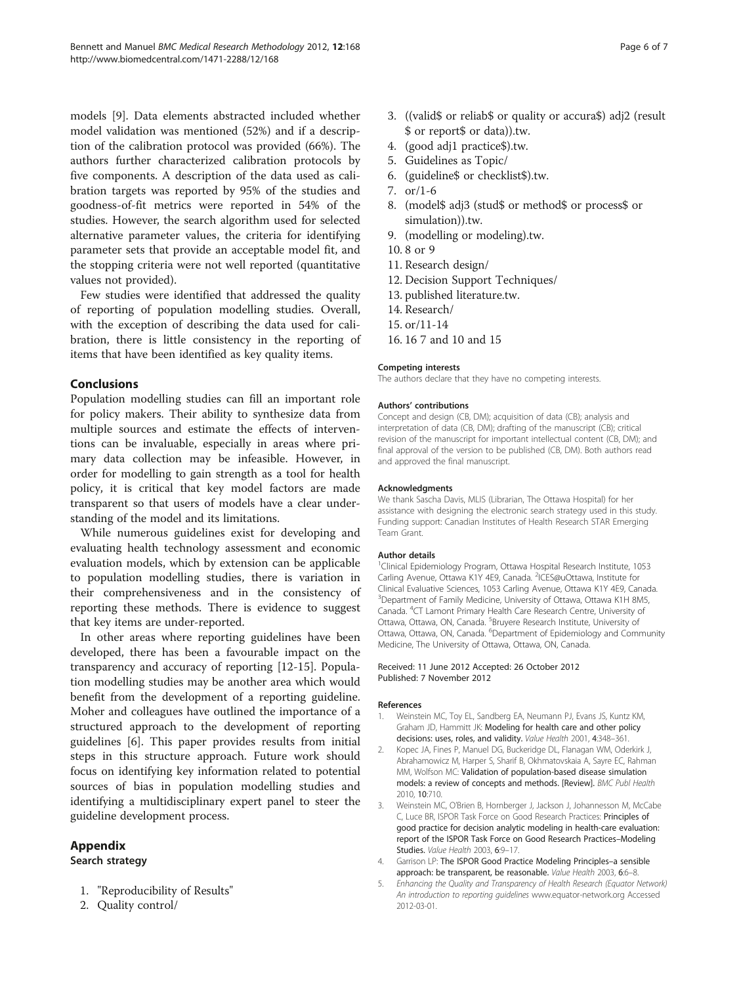<span id="page-5-0"></span>models [\[9](#page-6-0)]. Data elements abstracted included whether model validation was mentioned (52%) and if a description of the calibration protocol was provided (66%). The authors further characterized calibration protocols by five components. A description of the data used as calibration targets was reported by 95% of the studies and goodness-of-fit metrics were reported in 54% of the studies. However, the search algorithm used for selected alternative parameter values, the criteria for identifying parameter sets that provide an acceptable model fit, and the stopping criteria were not well reported (quantitative values not provided).

Few studies were identified that addressed the quality of reporting of population modelling studies. Overall, with the exception of describing the data used for calibration, there is little consistency in the reporting of items that have been identified as key quality items.

## Conclusions

Population modelling studies can fill an important role for policy makers. Their ability to synthesize data from multiple sources and estimate the effects of interventions can be invaluable, especially in areas where primary data collection may be infeasible. However, in order for modelling to gain strength as a tool for health policy, it is critical that key model factors are made transparent so that users of models have a clear understanding of the model and its limitations.

While numerous guidelines exist for developing and evaluating health technology assessment and economic evaluation models, which by extension can be applicable to population modelling studies, there is variation in their comprehensiveness and in the consistency of reporting these methods. There is evidence to suggest that key items are under-reported.

In other areas where reporting guidelines have been developed, there has been a favourable impact on the transparency and accuracy of reporting [[12-15\]](#page-6-0). Population modelling studies may be another area which would benefit from the development of a reporting guideline. Moher and colleagues have outlined the importance of a structured approach to the development of reporting guidelines [[6\]](#page-6-0). This paper provides results from initial steps in this structure approach. Future work should focus on identifying key information related to potential sources of bias in population modelling studies and identifying a multidisciplinary expert panel to steer the guideline development process.

## Appendix

## Search strategy

- 1. "Reproducibility of Results"
- 2. Quality control/
- 3. ((valid\$ or reliab\$ or quality or accura\$) adj2 (result \$ or report\$ or data)).tw.
- 4. (good adj1 practice\$).tw.
- 5. Guidelines as Topic/
- 6. (guideline\$ or checklist\$).tw.
- 7. or/1-6
- 8. (model\$ adj3 (stud\$ or method\$ or process\$ or simulation)).tw.
- 9. (modelling or modeling).tw.
- 10. 8 or 9
- 11. Research design/
- 12. Decision Support Techniques/
- 13. published literature.tw.
- 14. Research/
- 15. or/11-14
- 16. 16 7 and 10 and 15

#### Competing interests

The authors declare that they have no competing interests.

#### Authors' contributions

Concept and design (CB, DM); acquisition of data (CB); analysis and interpretation of data (CB, DM); drafting of the manuscript (CB); critical revision of the manuscript for important intellectual content (CB, DM); and final approval of the version to be published (CB, DM). Both authors read and approved the final manuscript.

#### Acknowledgments

We thank Sascha Davis, MLIS (Librarian, The Ottawa Hospital) for her assistance with designing the electronic search strategy used in this study. Funding support: Canadian Institutes of Health Research STAR Emerging Team Grant.

#### Author details

<sup>1</sup>Clinical Epidemiology Program, Ottawa Hospital Research Institute, 1053 Carling Avenue, Ottawa K1Y 4E9, Canada. <sup>2</sup>ICES@uOttawa, Institute for Clinical Evaluative Sciences, 1053 Carling Avenue, Ottawa K1Y 4E9, Canada. <sup>3</sup>Department of Family Medicine, University of Ottawa, Ottawa K1H 8M5 Canada. <sup>4</sup>CT Lamont Primary Health Care Research Centre, University of Ottawa, Ottawa, ON, Canada. <sup>5</sup>Bruyere Research Institute, University of Ottawa, Ottawa, ON, Canada. <sup>6</sup>Department of Epidemiology and Community Medicine, The University of Ottawa, Ottawa, ON, Canada.

#### Received: 11 June 2012 Accepted: 26 October 2012 Published: 7 November 2012

#### References

- 1. Weinstein MC, Toy EL, Sandberg EA, Neumann PJ, Evans JS, Kuntz KM, Graham JD, Hammitt JK: Modeling for health care and other policy decisions: uses, roles, and validity. Value Health 2001, 4:348–361.
- 2. Kopec JA, Fines P, Manuel DG, Buckeridge DL, Flanagan WM, Oderkirk J, Abrahamowicz M, Harper S, Sharif B, Okhmatovskaia A, Sayre EC, Rahman MM, Wolfson MC: Validation of population-based disease simulation models: a review of concepts and methods. [Review]. BMC Publ Health 2010, 10:710.
- 3. Weinstein MC, O'Brien B, Hornberger J, Jackson J, Johannesson M, McCabe C, Luce BR, ISPOR Task Force on Good Research Practices: Principles of good practice for decision analytic modeling in health-care evaluation: report of the ISPOR Task Force on Good Research Practices–Modeling Studies. Value Health 2003, 6:9-17.
- 4. Garrison LP: The ISPOR Good Practice Modeling Principles–a sensible approach: be transparent, be reasonable. Value Health 2003, 6:6-8.
- 5. Enhancing the Quality and Transparency of Health Research (Equator Network) An introduction to reporting guidelines [www.equator-network.org](http://www.equator-network.org) Accessed 2012-03-01.